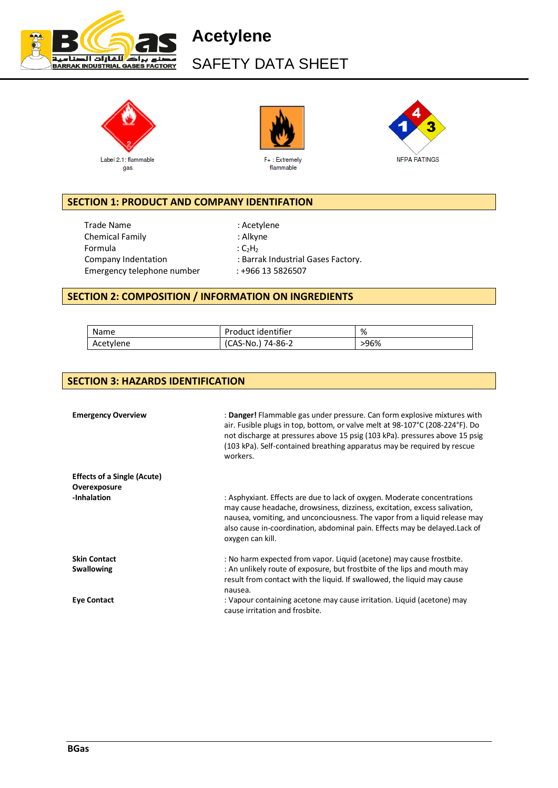

**Acetylene** SAFETY DATA SHEET







### **SECTION 1: PRODUCT AND COMPANY IDENTIFATION**

Trade Name : Acetylene Chemical Family **Exercise State Chemical Family**  $\cdot$  Alkyne Formula  $C_2H_2$ Emergency telephone number : +966 13 5826507

Company Indentation : Barrak Industrial Gases Factory.

### **SECTION 2: COMPOSITION / INFORMATION ON INGREDIENTS**

| Name      | Product identifier | %    |
|-----------|--------------------|------|
| Acetylene | (CAS-No.) 74-86-2  | >96% |

### **SECTION 3: HAZARDS IDENTIFICATION**

| <b>Emergency Overview</b>          | : Danger! Flammable gas under pressure. Can form explosive mixtures with<br>air. Fusible plugs in top, bottom, or valve melt at 98-107°C (208-224°F). Do<br>not discharge at pressures above 15 psig (103 kPa). pressures above 15 psig<br>(103 kPa). Self-contained breathing apparatus may be required by rescue<br>workers.        |
|------------------------------------|---------------------------------------------------------------------------------------------------------------------------------------------------------------------------------------------------------------------------------------------------------------------------------------------------------------------------------------|
| <b>Effects of a Single (Acute)</b> |                                                                                                                                                                                                                                                                                                                                       |
| Overexposure                       |                                                                                                                                                                                                                                                                                                                                       |
| -Inhalation                        | : Asphyxiant. Effects are due to lack of oxygen. Moderate concentrations<br>may cause headache, drowsiness, dizziness, excitation, excess salivation,<br>nausea, vomiting, and unconciousness. The vapor from a liquid release may<br>also cause in-coordination, abdominal pain. Effects may be delayed. Lack of<br>oxygen can kill. |
| <b>Skin Contact</b>                | : No harm expected from vapor. Liquid (acetone) may cause frostbite.                                                                                                                                                                                                                                                                  |
| <b>Swallowing</b>                  | : An unlikely route of exposure, but frostbite of the lips and mouth may<br>result from contact with the liquid. If swallowed, the liquid may cause<br>nausea.                                                                                                                                                                        |
| <b>Eye Contact</b>                 | : Vapour containing acetone may cause irritation. Liquid (acetone) may<br>cause irritation and frosbite.                                                                                                                                                                                                                              |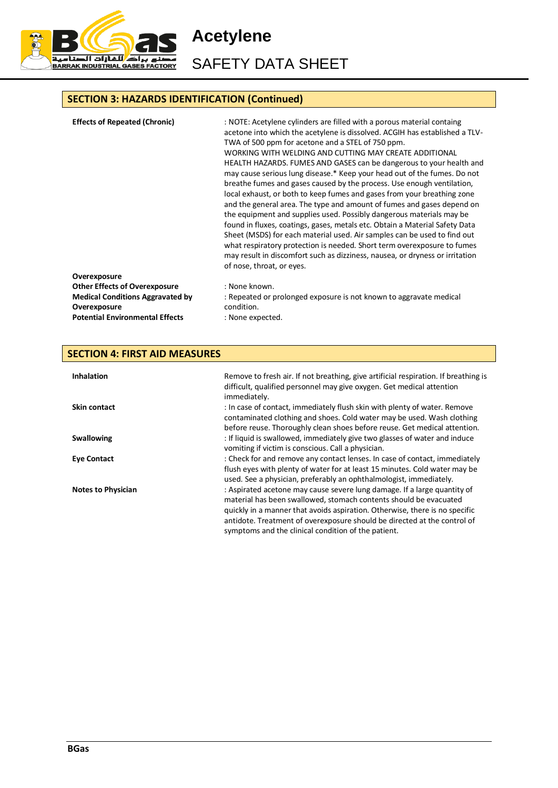

**Acetylene** SAFETY DATA SHEET

# **SECTION 3: HAZARDS IDENTIFICATION (Continued)**

| <b>Effects of Repeated (Chronic)</b>                    | : NOTE: Acetylene cylinders are filled with a porous material containg<br>acetone into which the acetylene is dissolved. ACGIH has established a TLV-<br>TWA of 500 ppm for acetone and a STEL of 750 ppm.<br>WORKING WITH WELDING AND CUTTING MAY CREATE ADDITIONAL<br>HEALTH HAZARDS. FUMES AND GASES can be dangerous to your health and<br>may cause serious lung disease.* Keep your head out of the fumes. Do not<br>breathe fumes and gases caused by the process. Use enough ventilation,<br>local exhaust, or both to keep fumes and gases from your breathing zone<br>and the general area. The type and amount of fumes and gases depend on<br>the equipment and supplies used. Possibly dangerous materials may be<br>found in fluxes, coatings, gases, metals etc. Obtain a Material Safety Data<br>Sheet (MSDS) for each material used. Air samples can be used to find out<br>what respiratory protection is needed. Short term overexposure to fumes<br>may result in discomfort such as dizziness, nausea, or dryness or irritation<br>of nose, throat, or eyes. |
|---------------------------------------------------------|-----------------------------------------------------------------------------------------------------------------------------------------------------------------------------------------------------------------------------------------------------------------------------------------------------------------------------------------------------------------------------------------------------------------------------------------------------------------------------------------------------------------------------------------------------------------------------------------------------------------------------------------------------------------------------------------------------------------------------------------------------------------------------------------------------------------------------------------------------------------------------------------------------------------------------------------------------------------------------------------------------------------------------------------------------------------------------------|
| Overexposure                                            |                                                                                                                                                                                                                                                                                                                                                                                                                                                                                                                                                                                                                                                                                                                                                                                                                                                                                                                                                                                                                                                                                   |
| <b>Other Effects of Overexposure</b>                    | : None known.                                                                                                                                                                                                                                                                                                                                                                                                                                                                                                                                                                                                                                                                                                                                                                                                                                                                                                                                                                                                                                                                     |
| <b>Medical Conditions Aggravated by</b><br>Overexposure | : Repeated or prolonged exposure is not known to aggravate medical<br>condition.                                                                                                                                                                                                                                                                                                                                                                                                                                                                                                                                                                                                                                                                                                                                                                                                                                                                                                                                                                                                  |
| <b>Potential Environmental Effects</b>                  | : None expected.                                                                                                                                                                                                                                                                                                                                                                                                                                                                                                                                                                                                                                                                                                                                                                                                                                                                                                                                                                                                                                                                  |

#### **SECTION 4: FIRST AID MEASURES Inhalation** Remove to fresh air. If not breathing, give artificial respiration. If breathing is difficult, qualified personnel may give oxygen. Get medical attention immediately. **Skin contact** state of contact, immediately flush skin with plenty of water. Remove contaminated clothing and shoes. Cold water may be used. Wash clothing before reuse. Thoroughly clean shoes before reuse. Get medical attention. **Swallowing Swallowing**  $\cdot$  **If liquid is swallowed, immediately give two glasses of water and induce** vomiting if victim is conscious. Call a physician. **Eye Contact Example 20 Contact** : Check for and remove any contact lenses. In case of contact, immediately flush eyes with plenty of water for at least 15 minutes. Cold water may be used. See a physician, preferably an ophthalmologist, immediately. Notes to Physician **interpretatal intervals of the School** : Aspirated acetone may cause severe lung damage. If a large quantity of material has been swallowed, stomach contents should be evacuated quickly in a manner that avoids aspiration. Otherwise, there is no specific antidote. Treatment of overexposure should be directed at the control of symptoms and the clinical condition of the patient.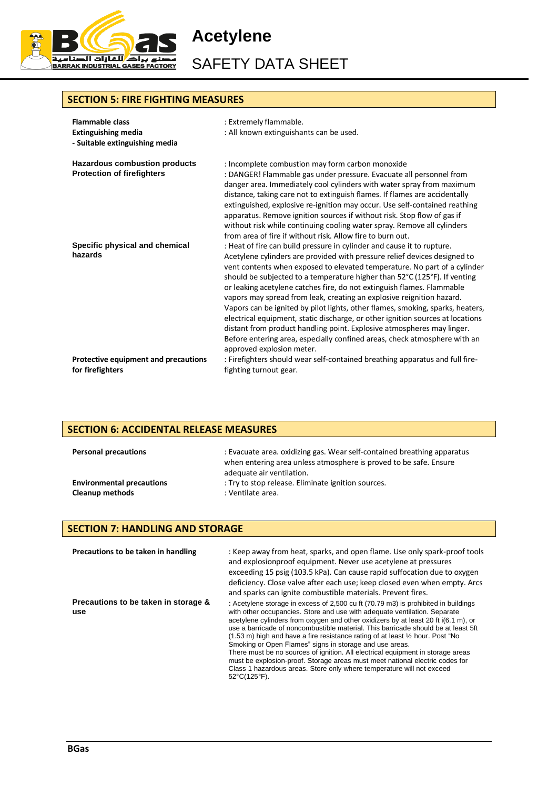

SAFETY DATA SHEET

#### **SECTION 5: FIRE FIGHTING MEASURES**

| <b>Flammable class</b><br><b>Extinguishing media</b><br>- Suitable extinguishing media | : Extremely flammable.<br>: All known extinguishants can be used.                                                                                                                                                                                                                                                                                                                                                                                                                                                                                                                                                                                                                                                                                                                                                        |
|----------------------------------------------------------------------------------------|--------------------------------------------------------------------------------------------------------------------------------------------------------------------------------------------------------------------------------------------------------------------------------------------------------------------------------------------------------------------------------------------------------------------------------------------------------------------------------------------------------------------------------------------------------------------------------------------------------------------------------------------------------------------------------------------------------------------------------------------------------------------------------------------------------------------------|
| <b>Hazardous combustion products</b><br><b>Protection of firefighters</b>              | : Incomplete combustion may form carbon monoxide<br>: DANGER! Flammable gas under pressure. Evacuate all personnel from<br>danger area. Immediately cool cylinders with water spray from maximum<br>distance, taking care not to extinguish flames. If flames are accidentally<br>extinguished, explosive re-ignition may occur. Use self-contained reathing<br>apparatus. Remove ignition sources if without risk. Stop flow of gas if<br>without risk while continuing cooling water spray. Remove all cylinders<br>from area of fire if without risk. Allow fire to burn out.                                                                                                                                                                                                                                         |
| Specific physical and chemical<br>hazards                                              | : Heat of fire can build pressure in cylinder and cause it to rupture.<br>Acetylene cylinders are provided with pressure relief devices designed to<br>vent contents when exposed to elevated temperature. No part of a cylinder<br>should be subjected to a temperature higher than 52°C (125°F). If venting<br>or leaking acetylene catches fire, do not extinguish flames. Flammable<br>vapors may spread from leak, creating an explosive reignition hazard.<br>Vapors can be ignited by pilot lights, other flames, smoking, sparks, heaters,<br>electrical equipment, static discharge, or other ignition sources at locations<br>distant from product handling point. Explosive atmospheres may linger.<br>Before entering area, especially confined areas, check atmosphere with an<br>approved explosion meter. |
| Protective equipment and precautions<br>for firefighters                               | : Firefighters should wear self-contained breathing apparatus and full fire-<br>fighting turnout gear.                                                                                                                                                                                                                                                                                                                                                                                                                                                                                                                                                                                                                                                                                                                   |

### **SECTION 6: ACCIDENTAL RELEASE MEASURES**

| <b>Personal precautions</b>      | : Evacuate area, oxidizing gas. Wear self-contained breathing apparatus<br>when entering area unless atmosphere is proved to be safe. Ensure<br>adequate air ventilation. |
|----------------------------------|---------------------------------------------------------------------------------------------------------------------------------------------------------------------------|
| <b>Environmental precautions</b> | : Try to stop release. Eliminate ignition sources.                                                                                                                        |
| <b>Cleanup methods</b>           | : Ventilate area.                                                                                                                                                         |

#### **SECTION 7: HANDLING AND STORAGE**

| Precautions to be taken in handling         | : Keep away from heat, sparks, and open flame. Use only spark-proof tools<br>and explosionproof equipment. Never use acetylene at pressures<br>exceeding 15 psig (103.5 kPa). Can cause rapid suffocation due to oxygen<br>deficiency. Close valve after each use; keep closed even when empty. Arcs<br>and sparks can ignite combustible materials. Prevent fires.                                                                                                                                                                                                                                                                                                                                                                                                                          |
|---------------------------------------------|----------------------------------------------------------------------------------------------------------------------------------------------------------------------------------------------------------------------------------------------------------------------------------------------------------------------------------------------------------------------------------------------------------------------------------------------------------------------------------------------------------------------------------------------------------------------------------------------------------------------------------------------------------------------------------------------------------------------------------------------------------------------------------------------|
| Precautions to be taken in storage &<br>use | : Acetylene storage in excess of 2,500 cu ft (70.79 m3) is prohibited in buildings<br>with other occupancies. Store and use with adequate ventilation. Separate<br>acetylene cylinders from oxygen and other oxidizers by at least 20 ft i(6.1 m), or<br>use a barricade of noncombustible material. This barricade should be at least 5ft<br>$(1.53 \text{ m})$ high and have a fire resistance rating of at least $\frac{1}{2}$ hour. Post "No<br>Smoking or Open Flames" signs in storage and use areas.<br>There must be no sources of ignition. All electrical equipment in storage areas<br>must be explosion-proof. Storage areas must meet national electric codes for<br>Class 1 hazardous areas. Store only where temperature will not exceed<br>$52^{\circ}$ C(125 $^{\circ}$ F). |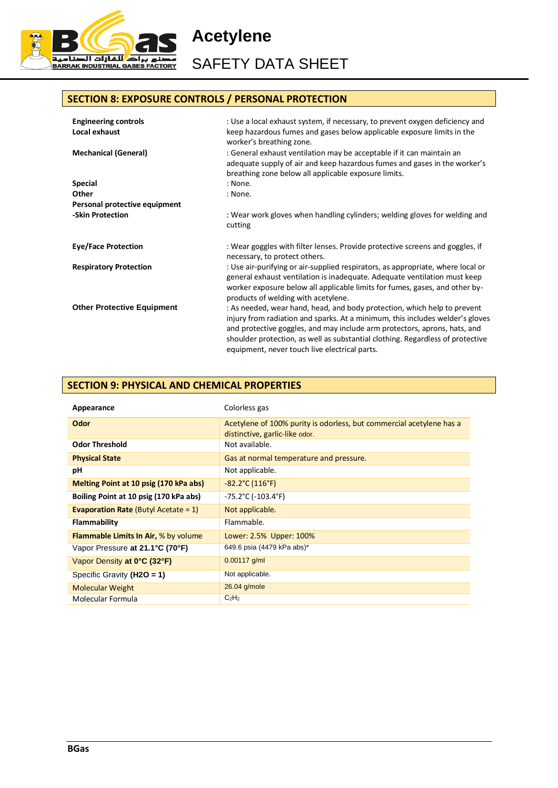

SAFETY DATA SHEET

## **SECTION 8: EXPOSURE CONTROLS / PERSONAL PROTECTION**

| <b>Engineering controls</b><br>Local exhaust | : Use a local exhaust system, if necessary, to prevent oxygen deficiency and<br>keep hazardous fumes and gases below applicable exposure limits in the<br>worker's breathing zone.                                                                                                                                                                                        |
|----------------------------------------------|---------------------------------------------------------------------------------------------------------------------------------------------------------------------------------------------------------------------------------------------------------------------------------------------------------------------------------------------------------------------------|
| <b>Mechanical (General)</b>                  | : General exhaust ventilation may be acceptable if it can maintain an<br>adequate supply of air and keep hazardous fumes and gases in the worker's<br>breathing zone below all applicable exposure limits.                                                                                                                                                                |
| <b>Special</b>                               | : None.                                                                                                                                                                                                                                                                                                                                                                   |
| Other                                        | : None.                                                                                                                                                                                                                                                                                                                                                                   |
| Personal protective equipment                |                                                                                                                                                                                                                                                                                                                                                                           |
| -Skin Protection                             | : Wear work gloves when handling cylinders; welding gloves for welding and<br>cutting                                                                                                                                                                                                                                                                                     |
| <b>Eye/Face Protection</b>                   | : Wear goggles with filter lenses. Provide protective screens and goggles, if<br>necessary, to protect others.                                                                                                                                                                                                                                                            |
| <b>Respiratory Protection</b>                | : Use air-purifying or air-supplied respirators, as appropriate, where local or<br>general exhaust ventilation is inadequate. Adequate ventilation must keep<br>worker exposure below all applicable limits for fumes, gases, and other by-<br>products of welding with acetylene.                                                                                        |
| <b>Other Protective Equipment</b>            | : As needed, wear hand, head, and body protection, which help to prevent<br>injury from radiation and sparks. At a minimum, this includes welder's gloves<br>and protective goggles, and may include arm protectors, aprons, hats, and<br>shoulder protection, as well as substantial clothing. Regardless of protective<br>equipment, never touch live electrical parts. |

### **SECTION 9: PHYSICAL AND CHEMICAL PROPERTIES**

| Appearance                                     | Colorless gas                                                                                          |
|------------------------------------------------|--------------------------------------------------------------------------------------------------------|
| Odor                                           | Acetylene of 100% purity is odorless, but commercial acetylene has a<br>distinctive, garlic-like odor. |
| <b>Odor Threshold</b>                          | Not available.                                                                                         |
| <b>Physical State</b>                          | Gas at normal temperature and pressure.                                                                |
| рH                                             | Not applicable.                                                                                        |
| Melting Point at 10 psig (170 kPa abs)         | $-82.2^{\circ}$ C (116 $^{\circ}$ F)                                                                   |
| Boiling Point at 10 psig (170 kPa abs)         | $-75.2^{\circ}$ C ( $-103.4^{\circ}$ F)                                                                |
| <b>Evaporation Rate</b> (Butyl Acetate = $1$ ) | Not applicable.                                                                                        |
| Flammability                                   | Flammable.                                                                                             |
| <b>Flammable Limits In Air, % by volume</b>    | Lower: 2.5% Upper: 100%                                                                                |
| Vapor Pressure at 21.1°C (70°F)                | 649.6 psia (4479 kPa abs)*                                                                             |
| Vapor Density at 0°C (32°F)                    | $0.00117$ g/ml                                                                                         |
| Specific Gravity $(H2O = 1)$                   | Not applicable.                                                                                        |
| <b>Molecular Weight</b>                        | 26.04 g/mole                                                                                           |
| Molecular Formula                              | C <sub>2</sub> H <sub>2</sub>                                                                          |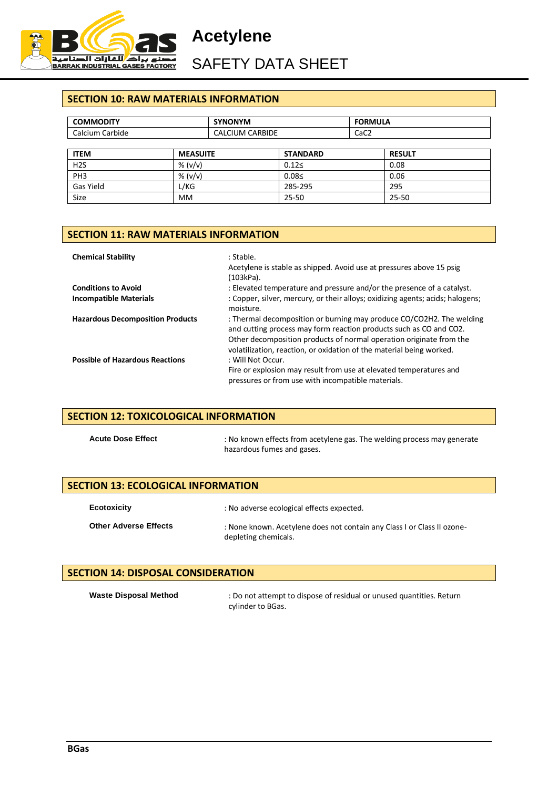

SAFETY DATA SHEET

### **SECTION 10: RAW MATERIALS INFORMATION**

| <b>COMMODITY</b> |                 | <b>SYNONYM</b>         |                 | <b>FORMULA</b>   |               |
|------------------|-----------------|------------------------|-----------------|------------------|---------------|
| Calcium Carbide  |                 | <b>CALCIUM CARBIDE</b> |                 | CaC <sub>2</sub> |               |
|                  |                 |                        |                 |                  |               |
| <b>ITEM</b>      | <b>MEASUITE</b> |                        | <b>STANDARD</b> |                  | <b>RESULT</b> |
| H2S              | % $(v/v)$       |                        | 0.125           |                  | 0.08          |
| PH <sub>3</sub>  | % $(v/v)$       |                        | 0.08<           |                  | 0.06          |
| Gas Yield        | L/KG            |                        | 285-295         |                  | 295           |
| <b>Size</b>      | <b>MM</b>       |                        | $25 - 50$       |                  | $25 - 50$     |

#### **SECTION 11: RAW MATERIALS INFORMATION**

| <b>Chemical Stability</b>               | : Stable.<br>Acetylene is stable as shipped. Avoid use at pressures above 15 psig<br>(103kPa).                                                                                                                                                                                            |
|-----------------------------------------|-------------------------------------------------------------------------------------------------------------------------------------------------------------------------------------------------------------------------------------------------------------------------------------------|
| <b>Conditions to Avoid</b>              | : Elevated temperature and pressure and/or the presence of a catalyst.                                                                                                                                                                                                                    |
| <b>Incompatible Materials</b>           | : Copper, silver, mercury, or their alloys; oxidizing agents; acids; halogens;<br>moisture.                                                                                                                                                                                               |
| <b>Hazardous Decomposition Products</b> | : Thermal decomposition or burning may produce CO/CO2H2. The welding<br>and cutting process may form reaction products such as CO and CO2.<br>Other decomposition products of normal operation originate from the<br>volatilization, reaction, or oxidation of the material being worked. |
| <b>Possible of Hazardous Reactions</b>  | : Will Not Occur.<br>Fire or explosion may result from use at elevated temperatures and<br>pressures or from use with incompatible materials.                                                                                                                                             |

### **SECTION 12: TOXICOLOGICAL INFORMATION**

Acute Dose Effect : No known effects from acetylene gas. The welding process may generate hazardous fumes and gases.

#### **SECTION 13: ECOLOGICAL INFORMATION**

| <b>Ecotoxicity</b>           | : No adverse ecological effects expected.                                                       |
|------------------------------|-------------------------------------------------------------------------------------------------|
| <b>Other Adverse Effects</b> | : None known. Acetylene does not contain any Class I or Class II ozone-<br>depleting chemicals. |

### **SECTION 14: DISPOSAL CONSIDERATION**

Waste Disposal Method : Do not attempt to dispose of residual or unused quantities. Return cylinder to BGas.